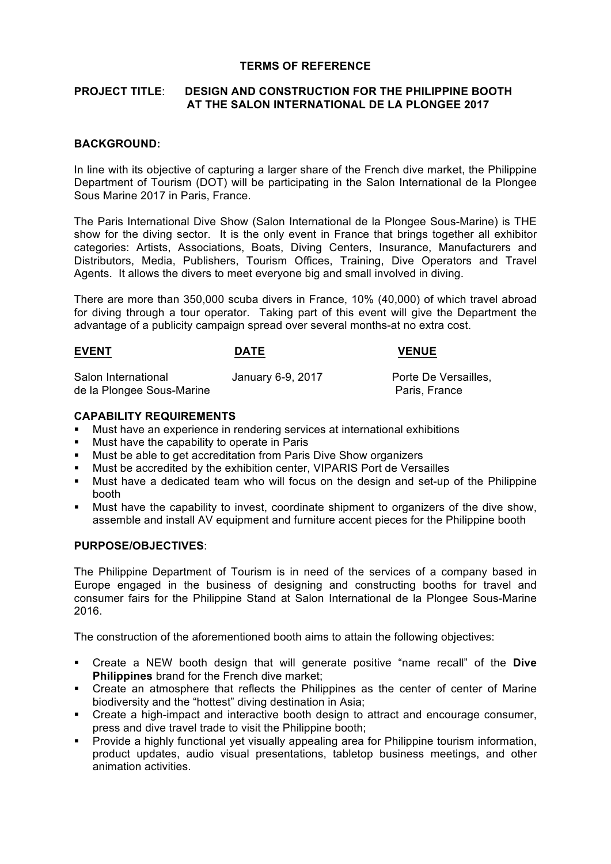#### **TERMS OF REFERENCE**

# **PROJECT TITLE**: **DESIGN AND CONSTRUCTION FOR THE PHILIPPINE BOOTH AT THE SALON INTERNATIONAL DE LA PLONGEE 2017**

#### **BACKGROUND:**

In line with its objective of capturing a larger share of the French dive market, the Philippine Department of Tourism (DOT) will be participating in the Salon International de la Plongee Sous Marine 2017 in Paris, France.

The Paris International Dive Show (Salon International de la Plongee Sous-Marine) is THE show for the diving sector. It is the only event in France that brings together all exhibitor categories: Artists, Associations, Boats, Diving Centers, Insurance, Manufacturers and Distributors, Media, Publishers, Tourism Offices, Training, Dive Operators and Travel Agents. It allows the divers to meet everyone big and small involved in diving.

There are more than 350,000 scuba divers in France, 10% (40,000) of which travel abroad for diving through a tour operator. Taking part of this event will give the Department the advantage of a publicity campaign spread over several months-at no extra cost.

# **EVENT CONSUMING DATE CONSUMING WENCH** Salon International **January 6-9, 2017** Porte De Versailles, de la Plongee Sous-Marine Paris, France

#### **CAPABILITY REQUIREMENTS**

- § Must have an experience in rendering services at international exhibitions
- § Must have the capability to operate in Paris
- § Must be able to get accreditation from Paris Dive Show organizers
- § Must be accredited by the exhibition center, VIPARIS Port de Versailles
- § Must have a dedicated team who will focus on the design and set-up of the Philippine booth
- § Must have the capability to invest, coordinate shipment to organizers of the dive show, assemble and install AV equipment and furniture accent pieces for the Philippine booth

# **PURPOSE/OBJECTIVES**:

The Philippine Department of Tourism is in need of the services of a company based in Europe engaged in the business of designing and constructing booths for travel and consumer fairs for the Philippine Stand at Salon International de la Plongee Sous-Marine 2016.

The construction of the aforementioned booth aims to attain the following objectives:

- § Create a NEW booth design that will generate positive "name recall" of the **Dive Philippines** brand for the French dive market;
- Create an atmosphere that reflects the Philippines as the center of center of Marine biodiversity and the "hottest" diving destination in Asia;
- Create a high-impact and interactive booth design to attract and encourage consumer, press and dive travel trade to visit the Philippine booth;
- Provide a highly functional yet visually appealing area for Philippine tourism information, product updates, audio visual presentations, tabletop business meetings, and other animation activities.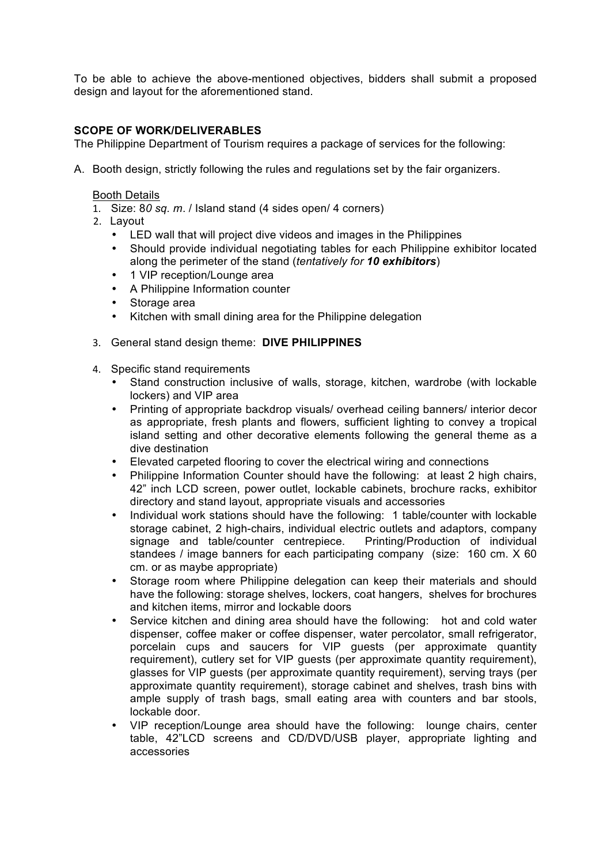To be able to achieve the above-mentioned objectives, bidders shall submit a proposed design and layout for the aforementioned stand.

## **SCOPE OF WORK/DELIVERABLES**

The Philippine Department of Tourism requires a package of services for the following:

A. Booth design, strictly following the rules and regulations set by the fair organizers.

#### Booth Details

- 1. Size: 8*0 sq. m*. / Island stand (4 sides open/ 4 corners)
- 2. Layout
	- LED wall that will project dive videos and images in the Philippines
	- Should provide individual negotiating tables for each Philippine exhibitor located along the perimeter of the stand (*tentatively for 10 exhibitors*)
	- 1 VIP reception/Lounge area
	- A Philippine Information counter
	- Storage area
	- Kitchen with small dining area for the Philippine delegation
- 3. General stand design theme: **DIVE PHILIPPINES**
- 4. Specific stand requirements
	- Stand construction inclusive of walls, storage, kitchen, wardrobe (with lockable lockers) and VIP area
	- Printing of appropriate backdrop visuals/ overhead ceiling banners/ interior decor as appropriate, fresh plants and flowers, sufficient lighting to convey a tropical island setting and other decorative elements following the general theme as a dive destination
	- Elevated carpeted flooring to cover the electrical wiring and connections
	- Philippine Information Counter should have the following: at least 2 high chairs, 42" inch LCD screen, power outlet, lockable cabinets, brochure racks, exhibitor directory and stand layout, appropriate visuals and accessories
	- Individual work stations should have the following: 1 table/counter with lockable storage cabinet, 2 high-chairs, individual electric outlets and adaptors, company signage and table/counter centrepiece. Printing/Production of individual standees / image banners for each participating company (size: 160 cm. X 60 cm. or as maybe appropriate)
	- Storage room where Philippine delegation can keep their materials and should have the following: storage shelves, lockers, coat hangers, shelves for brochures and kitchen items, mirror and lockable doors
	- Service kitchen and dining area should have the following: hot and cold water dispenser, coffee maker or coffee dispenser, water percolator, small refrigerator, porcelain cups and saucers for VIP guests (per approximate quantity requirement), cutlery set for VIP guests (per approximate quantity requirement), glasses for VIP guests (per approximate quantity requirement), serving trays (per approximate quantity requirement), storage cabinet and shelves, trash bins with ample supply of trash bags, small eating area with counters and bar stools, lockable door.
	- VIP reception/Lounge area should have the following: lounge chairs, center table, 42"LCD screens and CD/DVD/USB player, appropriate lighting and accessories